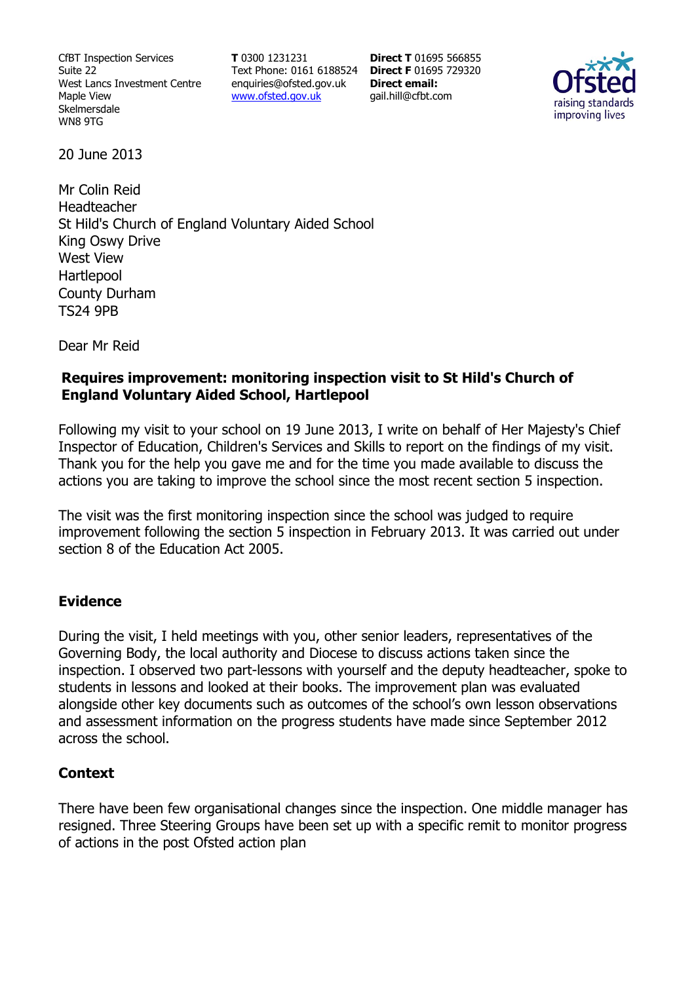CfBT Inspection Services Suite 22 West Lancs Investment Centre Maple View Skelmersdale WN8 9TG

**T** 0300 1231231 Text Phone: 0161 6188524 **Direct F** 01695 729320 enquiries@ofsted.gov.uk www.ofsted.gov.uk

**Direct T** 01695 566855 **Direct email:**  gail.hill@cfbt.com



20 June 2013

Mr Colin Reid Headteacher St Hild's Church of England Voluntary Aided School King Oswy Drive West View Hartlepool County Durham TS24 9PB

Dear Mr Reid

## **Requires improvement: monitoring inspection visit to St Hild's Church of England Voluntary Aided School, Hartlepool**

Following my visit to your school on 19 June 2013, I write on behalf of Her Majesty's Chief Inspector of Education, Children's Services and Skills to report on the findings of my visit. Thank you for the help you gave me and for the time you made available to discuss the actions you are taking to improve the school since the most recent section 5 inspection.

The visit was the first monitoring inspection since the school was judged to require improvement following the section 5 inspection in February 2013. It was carried out under section 8 of the Education Act 2005.

## **Evidence**

During the visit, I held meetings with you, other senior leaders, representatives of the Governing Body, the local authority and Diocese to discuss actions taken since the inspection. I observed two part-lessons with yourself and the deputy headteacher, spoke to students in lessons and looked at their books. The improvement plan was evaluated alongside other key documents such as outcomes of the school's own lesson observations and assessment information on the progress students have made since September 2012 across the school.

#### **Context**

There have been few organisational changes since the inspection. One middle manager has resigned. Three Steering Groups have been set up with a specific remit to monitor progress of actions in the post Ofsted action plan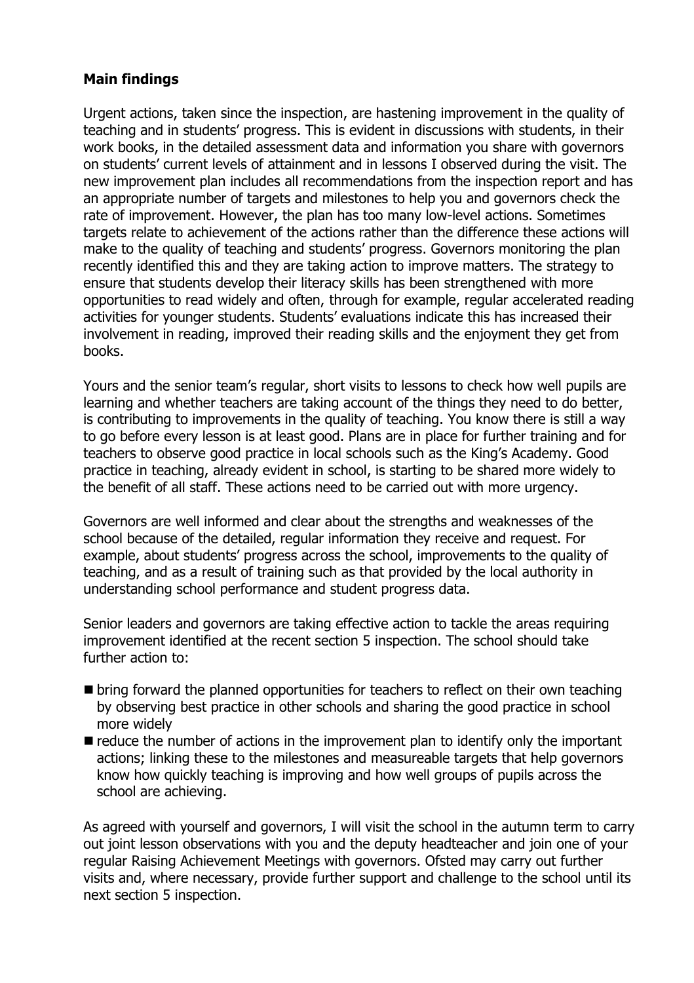# **Main findings**

Urgent actions, taken since the inspection, are hastening improvement in the quality of teaching and in students' progress. This is evident in discussions with students, in their work books, in the detailed assessment data and information you share with governors on students' current levels of attainment and in lessons I observed during the visit. The new improvement plan includes all recommendations from the inspection report and has an appropriate number of targets and milestones to help you and governors check the rate of improvement. However, the plan has too many low-level actions. Sometimes targets relate to achievement of the actions rather than the difference these actions will make to the quality of teaching and students' progress. Governors monitoring the plan recently identified this and they are taking action to improve matters. The strategy to ensure that students develop their literacy skills has been strengthened with more opportunities to read widely and often, through for example, regular accelerated reading activities for younger students. Students' evaluations indicate this has increased their involvement in reading, improved their reading skills and the enjoyment they get from books.

Yours and the senior team's regular, short visits to lessons to check how well pupils are learning and whether teachers are taking account of the things they need to do better, is contributing to improvements in the quality of teaching. You know there is still a way to go before every lesson is at least good. Plans are in place for further training and for teachers to observe good practice in local schools such as the King's Academy. Good practice in teaching, already evident in school, is starting to be shared more widely to the benefit of all staff. These actions need to be carried out with more urgency.

Governors are well informed and clear about the strengths and weaknesses of the school because of the detailed, regular information they receive and request. For example, about students' progress across the school, improvements to the quality of teaching, and as a result of training such as that provided by the local authority in understanding school performance and student progress data.

Senior leaders and governors are taking effective action to tackle the areas requiring improvement identified at the recent section 5 inspection. The school should take further action to:

- $\blacksquare$  bring forward the planned opportunities for teachers to reflect on their own teaching by observing best practice in other schools and sharing the good practice in school more widely
- $\blacksquare$  reduce the number of actions in the improvement plan to identify only the important actions; linking these to the milestones and measureable targets that help governors know how quickly teaching is improving and how well groups of pupils across the school are achieving.

As agreed with yourself and governors, I will visit the school in the autumn term to carry out joint lesson observations with you and the deputy headteacher and join one of your regular Raising Achievement Meetings with governors. Ofsted may carry out further visits and, where necessary, provide further support and challenge to the school until its next section 5 inspection.